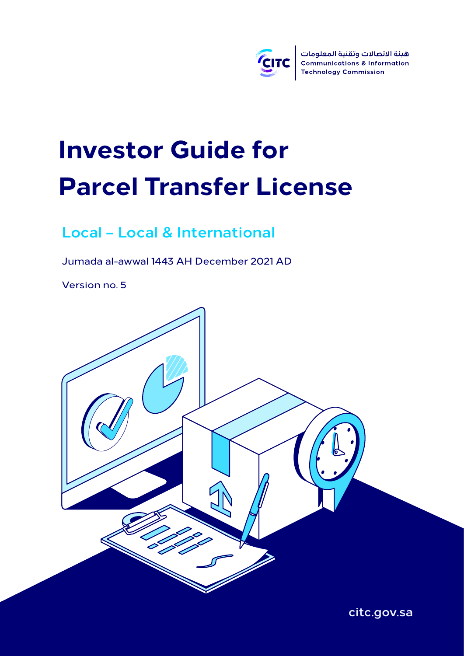

# **Investor Guide for Parcel Transfer License**

### **Local – Local & International**

Jumada al-awwal 1443 AH December 2021 AD

Version no. 5



**citc.gov.sa**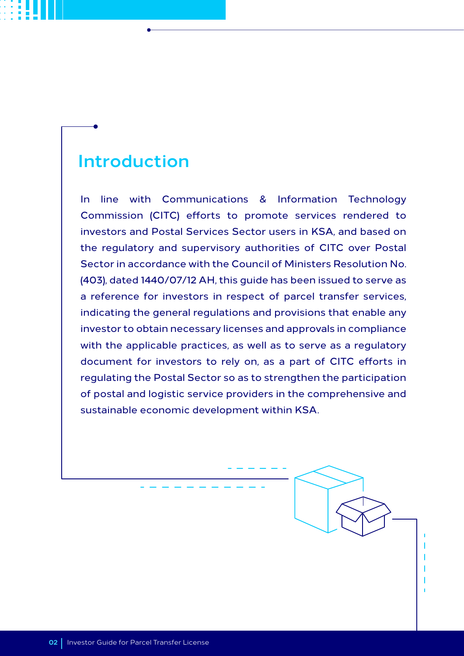### **Introduction**

In line with Communications & Information Technology Commission (CITC) efforts to promote services rendered to investors and Postal Services Sector users in KSA, and based on the regulatory and supervisory authorities of CITC over Postal Sector in accordance with the Council of Ministers Resolution No. (403), dated 1440/07/12 AH, this guide has been issued to serve as a reference for investors in respect of parcel transfer services, indicating the general regulations and provisions that enable any investor to obtain necessary licenses and approvals in compliance with the applicable practices, as well as to serve as a regulatory document for investors to rely on, as a part of CITC efforts in regulating the Postal Sector so as to strengthen the participation of postal and logistic service providers in the comprehensive and sustainable economic development within KSA.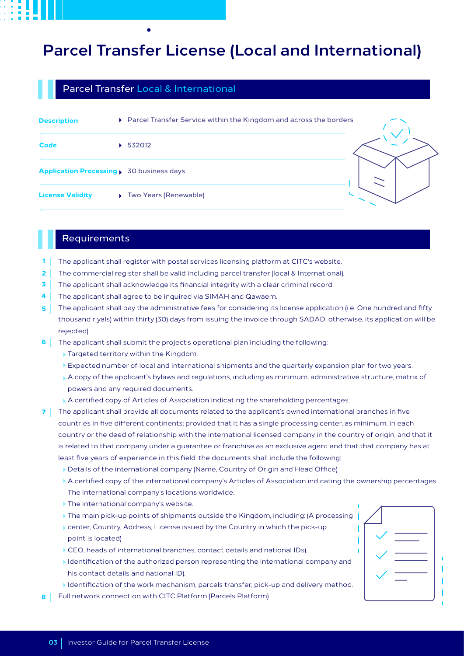### **Parcel Transfer License (Local and International)**

#### Parcel Transfer Local & International

| <b>Description</b>                                  | ▶ Parcel Transfer Service within the Kingdom and across the borders |  |
|-----------------------------------------------------|---------------------------------------------------------------------|--|
| <b>Code</b>                                         | 532012                                                              |  |
| <b>Application Processing &gt; 30 business days</b> |                                                                     |  |
| <b>License Validity</b>                             | <b>Two Years (Renewable)</b>                                        |  |

#### Requirements

- The applicant shall register with postal services licensing platform at CITC's website. **1**
- The commercial register shall be valid including parcel transfer (local & International). **2**
- The applicant shall acknowledge its financial integrity with a clear criminal record. **3**
- The applicant shall agree to be inquired via SIMAH and Qawaem. **4**
- The applicant shall pay the administrative fees for considering its license application (i.e. One hundred and fifty thousand riyals) within thirty (30) days from issuing the invoice through SADAD, otherwise, its application will be rejected). **5**
- The applicant shall submit the project's operational plan including the following: **6**
	- Targeted territory within the Kingdom.
	- Expected number of local and international shipments and the quarterly expansion plan for two years.
	- A copy of the applicant's bylaws and regulations, including as minimum, administrative structure, matrix of powers and any required documents.
	- A certified copy of Articles of Association indicating the shareholding percentages.
- The applicant shall provide all documents related to the applicant's owned international branches in five **7** countries in five different continents; provided that it has a single processing center, as minimum, in each country or the deed of relationship with the international licensed company in the country of origin, and that it is related to that company under a guarantee or franchise as an exclusive agent and that that company has at least five years of experience in this field. the documents shall include the following:
	- Details of the international company (Name, Country of Origin and Head Office)
	- A certified copy of the international company's Articles of Association indicating the ownership percentages. The international company's locations worldwide.
	- The international company's website.
	- The main pick-up points of shipments outside the Kingdom, including: (A processing
	- center, Country, Address, License issued by the Country in which the pick-up point is located)
	- CEO, heads of international branches, contact details and national IDs).
	- $\blacktriangleright$  Identification of the authorized person representing the international company and his contact details and national ID).
	- Identification of the work mechanism, parcels transfer, pick-up and delivery method.
- Full network connection with CITC Platform (Parcels Platform). **8**

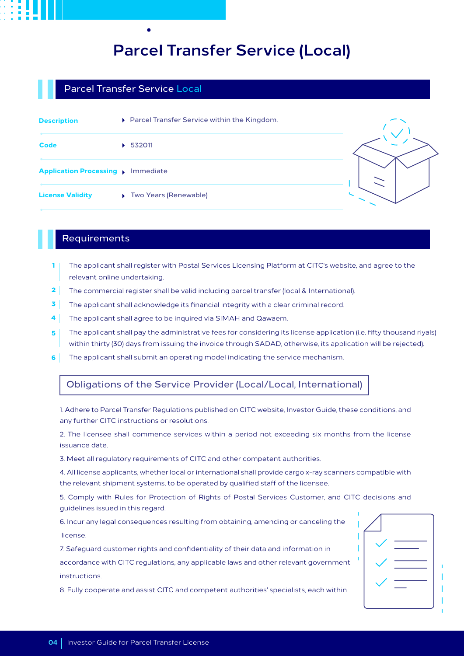### **Parcel Transfer Service (Local)**

#### Parcel Transfer Service Local

| <b>Description</b>                           | ▶ Parcel Transfer Service within the Kingdom. |  |
|----------------------------------------------|-----------------------------------------------|--|
| <b>Code</b>                                  | $\triangleright$ 532011                       |  |
| <b>Application Processing &gt; Immediate</b> |                                               |  |
| <b>License Validity</b>                      | ▶ Two Years (Renewable)                       |  |

#### Requirements

- The applicant shall register with Postal Services Licensing Platform at CITC's website, and agree to the relevant online undertaking. **1**
- The commercial register shall be valid including parcel transfer (local & International). **2**
- The applicant shall acknowledge its financial integrity with a clear criminal record. **3**
- The applicant shall agree to be inquired via SIMAH and Qawaem. **4**
- The applicant shall pay the administrative fees for considering its license application (i.e. fifty thousand riyals) within thirty (30) days from issuing the invoice through SADAD, otherwise, its application will be rejected). **5**
- The applicant shall submit an operating model indicating the service mechanism. **6**

#### Obligations of the Service Provider (Local/Local, International)

1. Adhere to Parcel Transfer Regulations published on CITC website, Investor Guide, these conditions, and any further CITC instructions or resolutions.

2. The licensee shall commence services within a period not exceeding six months from the license issuance date.

3. Meet all regulatory requirements of CITC and other competent authorities.

4. All license applicants, whether local or international shall provide cargo x-ray scanners compatible with the relevant shipment systems, to be operated by qualified staff of the licensee.

5. Comply with Rules for Protection of Rights of Postal Services Customer, and CITC decisions and guidelines issued in this regard.

6. Incur any legal consequences resulting from obtaining, amending or canceling the license.

7. Safeguard customer rights and confidentiality of their data and information in accordance with CITC regulations, any applicable laws and other relevant government instructions.

8. Fully cooperate and assist CITC and competent authorities' specialists, each within

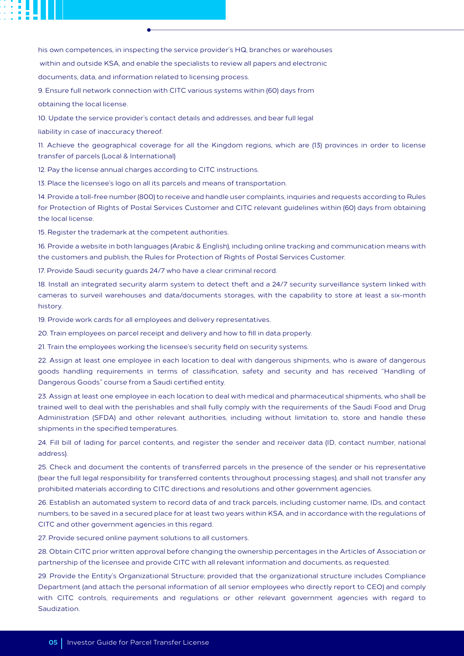his own competences, in inspecting the service provider's HQ, branches or warehouses

within and outside KSA, and enable the specialists to review all papers and electronic

documents, data, and information related to licensing process.

9. Ensure full network connection with CITC various systems within (60) days from

obtaining the local license.

10. Update the service provider's contact details and addresses, and bear full legal

liability in case of inaccuracy thereof.

11. Achieve the geographical coverage for all the Kingdom regions, which are (13) provinces in order to license transfer of parcels (Local & International)

12. Pay the license annual charges according to CITC instructions.

13. Place the licensee's logo on all its parcels and means of transportation.

14. Provide a toll-free number (800) to receive and handle user complaints, inquiries and requests according to Rules for Protection of Rights of Postal Services Customer and CITC relevant guidelines within (60) days from obtaining the local license.

15. Register the trademark at the competent authorities.

16. Provide a website in both languages (Arabic & English), including online tracking and communication means with the customers and publish, the Rules for Protection of Rights of Postal Services Customer.

17. Provide Saudi security guards 24/7 who have a clear criminal record.

18. Install an integrated security alarm system to detect theft and a 24/7 security surveillance system linked with cameras to surveil warehouses and data/documents storages, with the capability to store at least a six-month history.

19. Provide work cards for all employees and delivery representatives.

20. Train employees on parcel receipt and delivery and how to fill in data properly.

21. Train the employees working the licensee's security field on security systems.

22. Assign at least one employee in each location to deal with dangerous shipments, who is aware of dangerous goods handling requirements in terms of classification, safety and security and has received "Handling of Dangerous Goods" course from a Saudi certified entity.

23. Assign at least one employee in each location to deal with medical and pharmaceutical shipments, who shall be trained well to deal with the perishables and shall fully comply with the requirements of the Saudi Food and Drug Administration (SFDA) and other relevant authorities, including without limitation to, store and handle these shipments in the specified temperatures.

24. Fill bill of lading for parcel contents, and register the sender and receiver data (ID, contact number, national address).

25. Check and document the contents of transferred parcels in the presence of the sender or his representative (bear the full legal responsibility for transferred contents throughout processing stages), and shall not transfer any prohibited materials according to CITC directions and resolutions and other government agencies.

26. Establish an automated system to record data of and track parcels, including customer name, IDs, and contact numbers, to be saved in a secured place for at least two years within KSA, and in accordance with the regulations of CITC and other government agencies in this regard.

27. Provide secured online payment solutions to all customers.

28. Obtain CITC prior written approval before changing the ownership percentages in the Articles of Association or partnership of the licensee and provide CITC with all relevant information and documents, as requested.

29. Provide the Entity's Organizational Structure; provided that the organizational structure includes Compliance Department (and attach the personal information of all senior employees who directly report to CEO) and comply with CITC controls, requirements and regulations or other relevant government agencies with regard to Saudization.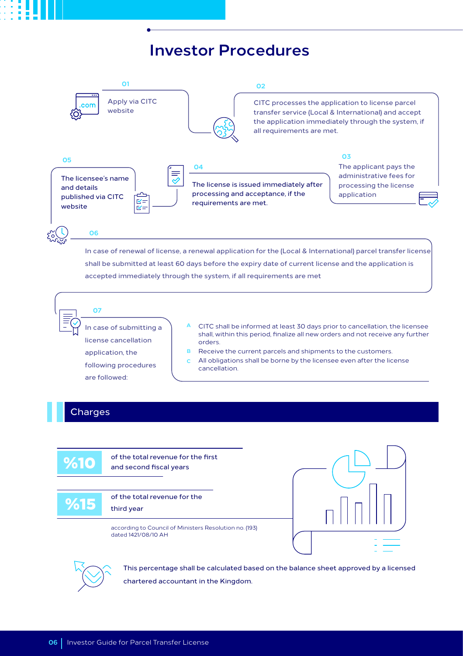### **Investor Procedures**



shall be submitted at least 60 days before the expiry date of current license and the application is accepted immediately through the system, if all requirements are met

**07**

In case of submitting a license cancellation application, the following procedures are followed:

- CITC shall be informed at least 30 days prior to cancellation, the licensee shall, within this period, finalize all new orders and not receive any further orders. **A**
- Receive the current parcels and shipments to the customers. **B**
- All obligations shall be borne by the licensee even after the license cancellation. **C**

#### **Charges**

of the total revenue for the first and second fiscal years

%15

%10

of the total revenue for the third year

according to Council of Ministers Resolution no. (193) dated 1421/08/10 AH





This percentage shall be calculated based on the balance sheet approved by a licensed chartered accountant in the Kingdom.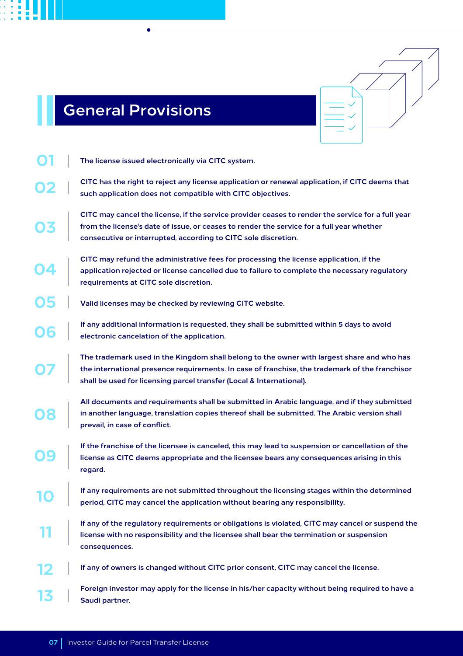## **General Provisions**



| 13 | from the license's date of issue, or ceases to render the service for a full year whether |  |
|----|-------------------------------------------------------------------------------------------|--|
|    | consecutive or interrupted, according to CITC sole discretion.                            |  |
|    |                                                                                           |  |

- **CITC may refund the administrative fees for processing the license application, if the application rejected or license cancelled due to failure to complete the necessary regulatory requirements at CITC sole discretion.**
- **Valid licenses may be checked by reviewing CITC website.**
- **If any additional information is requested, they shall be submitted within 5 days to avoid electronic cancelation of the application.**
- **The trademark used in the Kingdom shall belong to the owner with largest share and who has the international presence requirements. In case of franchise, the trademark of the franchisor shall be used for licensing parcel transfer (Local & International).**
- **All documents and requirements shall be submitted in Arabic language, and if they submitted in another language, translation copies thereof shall be submitted. The Arabic version shall prevail, in case of conflict.**
- **If the franchise of the licensee is canceled, this may lead to suspension or cancellation of the license as CITC deems appropriate and the licensee bears any consequences arising in this regard.**
- **If any requirements are not submitted throughout the licensing stages within the determined period, CITC may cancel the application without bearing any responsibility.**
- **If any of the regulatory requirements or obligations is violated, CITC may cancel or suspend the license with no responsibility and the licensee shall bear the termination or suspension consequences.**
- **If any of owners is changed without CITC prior consent, CITC may cancel the license.**
- **Foreign investor may apply for the license in his/her capacity without being required to have a Saudi partner.**